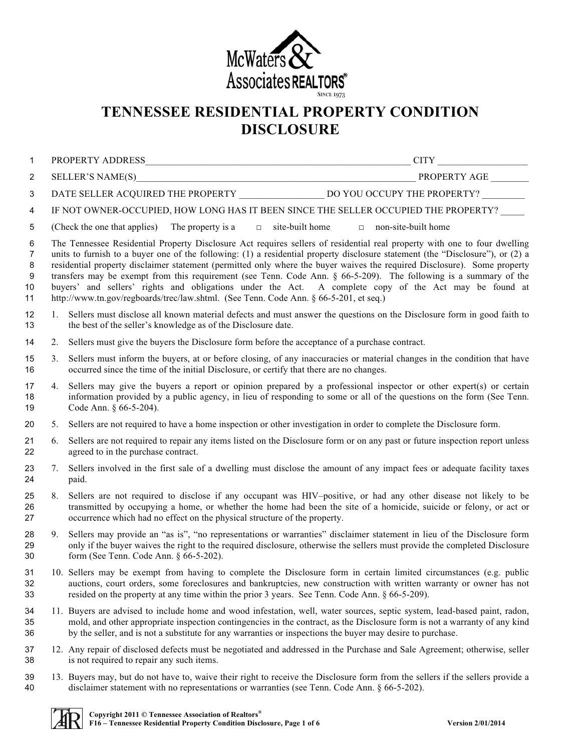

## **TENNESSEE RESIDENTIAL PROPERTY CONDITION DISCLOSURE**

| 1                                         |    |                                                                                                                                                                                                                                                                                                                                                                                                                                                                                                                                                                                                                                                                                                                   |  |
|-------------------------------------------|----|-------------------------------------------------------------------------------------------------------------------------------------------------------------------------------------------------------------------------------------------------------------------------------------------------------------------------------------------------------------------------------------------------------------------------------------------------------------------------------------------------------------------------------------------------------------------------------------------------------------------------------------------------------------------------------------------------------------------|--|
| 2                                         |    |                                                                                                                                                                                                                                                                                                                                                                                                                                                                                                                                                                                                                                                                                                                   |  |
| 3                                         |    |                                                                                                                                                                                                                                                                                                                                                                                                                                                                                                                                                                                                                                                                                                                   |  |
| 4                                         |    | IF NOT OWNER-OCCUPIED, HOW LONG HAS IT BEEN SINCE THE SELLER OCCUPIED THE PROPERTY?                                                                                                                                                                                                                                                                                                                                                                                                                                                                                                                                                                                                                               |  |
| 5                                         |    | (Check the one that applies) The property is a $\Box$ site-built home $\Box$ non-site-built home                                                                                                                                                                                                                                                                                                                                                                                                                                                                                                                                                                                                                  |  |
| 6<br>$\overline{7}$<br>8<br>9<br>10<br>11 |    | The Tennessee Residential Property Disclosure Act requires sellers of residential real property with one to four dwelling<br>units to furnish to a buyer one of the following: (1) a residential property disclosure statement (the "Disclosure"), or (2) a<br>residential property disclaimer statement (permitted only where the buyer waives the required Disclosure). Some property<br>transfers may be exempt from this requirement (see Tenn. Code Ann. $\S$ 66-5-209). The following is a summary of the<br>buyers' and sellers' rights and obligations under the Act. A complete copy of the Act may be found at<br>http://www.tn.gov/regboards/trec/law.shtml. (See Tenn. Code Ann. § 66-5-201, et seq.) |  |
| 12<br>13                                  | 1. | Sellers must disclose all known material defects and must answer the questions on the Disclosure form in good faith to<br>the best of the seller's knowledge as of the Disclosure date.                                                                                                                                                                                                                                                                                                                                                                                                                                                                                                                           |  |
| 14                                        | 2. | Sellers must give the buyers the Disclosure form before the acceptance of a purchase contract.                                                                                                                                                                                                                                                                                                                                                                                                                                                                                                                                                                                                                    |  |
| 15<br>16                                  | 3. | Sellers must inform the buyers, at or before closing, of any inaccuracies or material changes in the condition that have<br>occurred since the time of the initial Disclosure, or certify that there are no changes.                                                                                                                                                                                                                                                                                                                                                                                                                                                                                              |  |
| 17<br>18<br>19                            | 4. | Sellers may give the buyers a report or opinion prepared by a professional inspector or other expert(s) or certain<br>information provided by a public agency, in lieu of responding to some or all of the questions on the form (See Tenn.<br>Code Ann. § 66-5-204).                                                                                                                                                                                                                                                                                                                                                                                                                                             |  |
| 20                                        | 5. | Sellers are not required to have a home inspection or other investigation in order to complete the Disclosure form.                                                                                                                                                                                                                                                                                                                                                                                                                                                                                                                                                                                               |  |
| 21<br>22                                  | 6. | Sellers are not required to repair any items listed on the Disclosure form or on any past or future inspection report unless<br>agreed to in the purchase contract.                                                                                                                                                                                                                                                                                                                                                                                                                                                                                                                                               |  |
| 23<br>24                                  | 7. | Sellers involved in the first sale of a dwelling must disclose the amount of any impact fees or adequate facility taxes<br>paid.                                                                                                                                                                                                                                                                                                                                                                                                                                                                                                                                                                                  |  |
| 25<br>26<br>27                            | 8. | Sellers are not required to disclose if any occupant was HIV-positive, or had any other disease not likely to be<br>transmitted by occupying a home, or whether the home had been the site of a homicide, suicide or felony, or act or<br>occurrence which had no effect on the physical structure of the property.                                                                                                                                                                                                                                                                                                                                                                                               |  |
| 28<br>29<br>30                            | 9. | Sellers may provide an "as is", "no representations or warranties" disclaimer statement in lieu of the Disclosure form<br>only if the buyer waives the right to the required disclosure, otherwise the sellers must provide the completed Disclosure<br>form (See Tenn. Code Ann. § 66-5-202).                                                                                                                                                                                                                                                                                                                                                                                                                    |  |
| 31                                        |    | 10. Sellers may be exempt from having to complete the Disclosure form in certain limited circumstances (e.g. public                                                                                                                                                                                                                                                                                                                                                                                                                                                                                                                                                                                               |  |

 11. Buyers are advised to include home and wood infestation, well, water sources, septic system, lead-based paint, radon, mold, and other appropriate inspection contingencies in the contract, as the Disclosure form is not a warranty of any kind by the seller, and is not a substitute for any warranties or inspections the buyer may desire to purchase.

auctions, court orders, some foreclosures and bankruptcies, new construction with written warranty or owner has not

- 12. Any repair of disclosed defects must be negotiated and addressed in the Purchase and Sale Agreement; otherwise, seller is not required to repair any such items.
- 39 13. Buyers may, but do not have to, waive their right to receive the Disclosure form from the sellers if the sellers provide a disclaimer statement with no representations or warranties (see Tenn. Code Ann. § 66-5-202). disclaimer statement with no representations or warranties (see Tenn. Code Ann. § 66-5-202).



resided on the property at any time within the prior 3 years. See Tenn. Code Ann. § 66-5-209).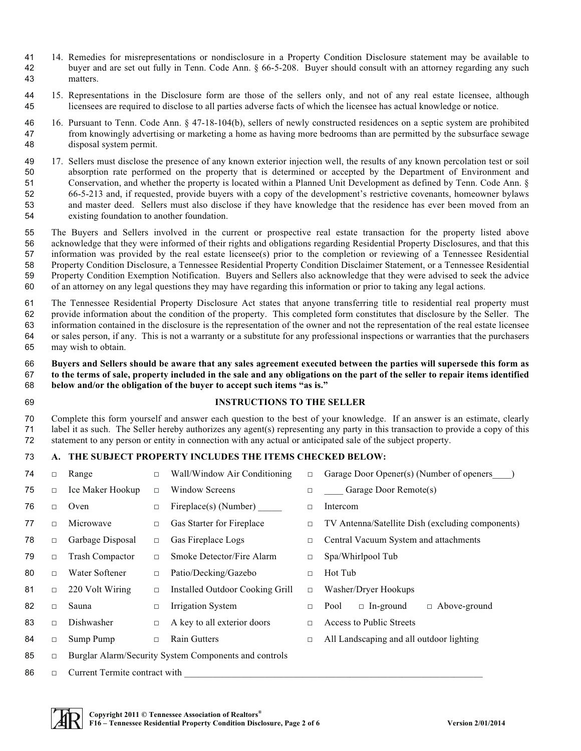- 14. Remedies for misrepresentations or nondisclosure in a Property Condition Disclosure statement may be available to buyer and are set out fully in Tenn. Code Ann. § 66-5-208. Buyer should consult with an attorney regarding any such matters.
- 15. Representations in the Disclosure form are those of the sellers only, and not of any real estate licensee, although licensees are required to disclose to all parties adverse facts of which the licensee has actual knowledge or notice.
- 16. Pursuant to Tenn. Code Ann. § 47-18-104(b), sellers of newly constructed residences on a septic system are prohibited from knowingly advertising or marketing a home as having more bedrooms than are permitted by the subsurface sewage disposal system permit.
- 17. Sellers must disclose the presence of any known exterior injection well, the results of any known percolation test or soil absorption rate performed on the property that is determined or accepted by the Department of Environment and Conservation, and whether the property is located within a Planned Unit Development as defined by Tenn. Code Ann. § 66-5-213 and, if requested, provide buyers with a copy of the development's restrictive covenants, homeowner bylaws and master deed. Sellers must also disclose if they have knowledge that the residence has ever been moved from an existing foundation to another foundation.
- The Buyers and Sellers involved in the current or prospective real estate transaction for the property listed above acknowledge that they were informed of their rights and obligations regarding Residential Property Disclosures, and that this information was provided by the real estate licensee(s) prior to the completion or reviewing of a Tennessee Residential 58 Property Condition Disclosure, a Tennessee Residential Property Condition Disclaimer Statement, or a Tennessee Residential<br>59 Property Condition Exemption Notification. Buvers and Sellers also acknowledge that they were 59 Property Condition Exemption Notification. Buyers and Sellers also acknowledge that they were advised to seek the advice<br>60 of an attorney on any legal questions they may have regarding this information or prior to taki of an attorney on any legal questions they may have regarding this information or prior to taking any legal actions.
- The Tennessee Residential Property Disclosure Act states that anyone transferring title to residential real property must provide information about the condition of the property. This completed form constitutes that disclosure by the Seller. The information contained in the disclosure is the representation of the owner and not the representation of the real estate licensee or sales person, if any. This is not a warranty or a substitute for any professional inspections or warranties that the purchasers may wish to obtain.
- **Buyers and Sellers should be aware that any sales agreement executed between the parties will supersede this form as to the terms of sale, property included in the sale and any obligations on the part of the seller to repair items identified below and/or the obligation of the buyer to accept such items "as is."**
- 

## **INSTRUCTIONS TO THE SELLER**

 Complete this form yourself and answer each question to the best of your knowledge. If an answer is an estimate, clearly 71 label it as such. The Seller hereby authorizes any agent(s) representing any party in this transaction to provide a copy of this statement to any person or entity in connection with any actual or anticipated sale of the statement to any person or entity in connection with any actual or anticipated sale of the subject property.

## **A. THE SUBJECT PROPERTY INCLUDES THE ITEMS CHECKED BELOW:**

| 74 | $\Box$ | Range                         | $\Box$ | Wall/Window Air Conditioning                          | $\Box$ | Garage Door Opener(s) (Number of openers         |  |  |  |  |
|----|--------|-------------------------------|--------|-------------------------------------------------------|--------|--------------------------------------------------|--|--|--|--|
| 75 | $\Box$ | Ice Maker Hookup              | $\Box$ | Window Screens                                        | $\Box$ | Garage Door Remote(s)                            |  |  |  |  |
| 76 | $\Box$ | Oven                          | $\Box$ | Fireplace(s) (Number)                                 | □      | Intercom                                         |  |  |  |  |
| 77 | $\Box$ | Microwave                     | $\Box$ | Gas Starter for Fireplace                             | $\Box$ | TV Antenna/Satellite Dish (excluding components) |  |  |  |  |
| 78 | $\Box$ | Garbage Disposal              | $\Box$ | Gas Fireplace Logs                                    | $\Box$ | Central Vacuum System and attachments            |  |  |  |  |
| 79 | $\Box$ | <b>Trash Compactor</b>        | $\Box$ | Smoke Detector/Fire Alarm                             | □      | Spa/Whirlpool Tub                                |  |  |  |  |
| 80 | $\Box$ | Water Softener                | $\Box$ | Patio/Decking/Gazebo                                  | $\Box$ | Hot Tub                                          |  |  |  |  |
| 81 | $\Box$ | 220 Volt Wiring               | $\Box$ | Installed Outdoor Cooking Grill                       | $\Box$ | Washer/Dryer Hookups                             |  |  |  |  |
| 82 | $\Box$ | Sauna                         | $\Box$ | Irrigation System                                     | $\Box$ | $\Box$ Above-ground<br>$\Box$ In-ground<br>Pool  |  |  |  |  |
| 83 | $\Box$ | Dishwasher                    | $\Box$ | A key to all exterior doors                           | п      | Access to Public Streets                         |  |  |  |  |
| 84 | $\Box$ | Sump Pump                     | $\Box$ | <b>Rain Gutters</b>                                   | $\Box$ | All Landscaping and all outdoor lighting         |  |  |  |  |
| 85 | $\Box$ |                               |        | Burglar Alarm/Security System Components and controls |        |                                                  |  |  |  |  |
| 86 | $\Box$ | Current Termite contract with |        |                                                       |        |                                                  |  |  |  |  |

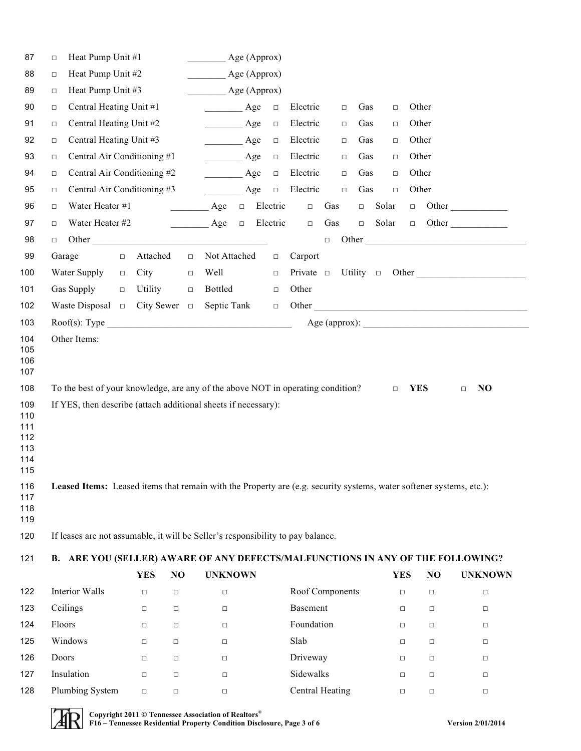| 87                                            | Heat Pump Unit #1<br>$\Box$                                                                                         | Age (Approx)                    |        |                                                                      |          |                  |        |                 |            |        |                           |
|-----------------------------------------------|---------------------------------------------------------------------------------------------------------------------|---------------------------------|--------|----------------------------------------------------------------------|----------|------------------|--------|-----------------|------------|--------|---------------------------|
| 88                                            | Heat Pump Unit #2<br>$\Box$                                                                                         |                                 |        | Age (Approx)<br>$\mathcal{L}^{\text{max}}$                           |          |                  |        |                 |            |        |                           |
| 89                                            | Heat Pump Unit #3<br>$\Box$                                                                                         | Age (Approx)                    |        |                                                                      |          |                  |        |                 |            |        |                           |
| 90                                            | Central Heating Unit #1<br>$\Box$                                                                                   |                                 |        | Age<br>$\mathcal{L}^{\text{max}}$ , where $\mathcal{L}^{\text{max}}$ | $\Box$   | Electric         | $\Box$ | Gas<br>$\Box$   | Other      |        |                           |
| 91                                            | Central Heating Unit #2<br>$\Box$                                                                                   | $\overline{\qquad \qquad }$ Age | $\Box$ | Electric                                                             | $\Box$   | Gas<br>$\Box$    | Other  |                 |            |        |                           |
| 92                                            | Central Heating Unit #3<br>$\Box$                                                                                   | $\frac{\ }{\ }$ Age             | $\Box$ | Electric                                                             | $\Box$   | Gas<br>$\Box$    | Other  |                 |            |        |                           |
| 93                                            | Central Air Conditioning #1<br>$\Box$                                                                               |                                 |        | $\overline{\phantom{a}}$ Age                                         | $\Box$   | Electric         | $\Box$ | Gas<br>$\Box$   | Other      |        |                           |
| 94                                            | Central Air Conditioning #2<br>$\Box$                                                                               |                                 |        | $\overline{\phantom{a}}$ Age                                         | $\Box$   | Electric         | $\Box$ | Gas<br>$\Box$   | Other      |        |                           |
| 95                                            | Central Air Conditioning #3<br>$\Box$                                                                               |                                 |        | $\overline{\phantom{a}}$ Age                                         | $\Box$   | Electric         | $\Box$ | Gas<br>$\Box$   | Other      |        |                           |
| 96                                            | Water Heater #1<br>$\Box$                                                                                           |                                 |        | $\overline{\phantom{a}}$ Age<br>$\Box$                               | Electric | $\hfill \square$ | Gas    | Solar<br>$\Box$ |            |        | $\Box$ Other              |
| 97                                            | Water Heater #2<br>$\Box$                                                                                           |                                 |        | $\overline{\phantom{a}}$ Age<br>$\Box$                               | Electric | $\Box$           | Gas    | Solar<br>$\Box$ | $\Box$ .   |        | Other                     |
| 98                                            | $\Box$                                                                                                              |                                 |        |                                                                      |          |                  | $\Box$ |                 |            |        |                           |
| 99                                            | Garage                                                                                                              | Attached<br>$\Box$              | $\Box$ | Not Attached                                                         | $\Box$   | Carport          |        |                 |            |        |                           |
| 100                                           | Water Supply                                                                                                        | City<br>$\Box$                  | $\Box$ | Well                                                                 | $\Box$   |                  |        |                 |            |        | Private □ Utility □ Other |
| 101                                           | Gas Supply                                                                                                          | Utility<br>$\Box$               | $\Box$ | Bottled                                                              | $\Box$   | Other            |        |                 |            |        |                           |
| 102                                           | Waste Disposal $\Box$ City Sewer $\Box$                                                                             |                                 |        | Septic Tank                                                          | $\Box$   |                  |        |                 |            |        |                           |
| 103                                           | Root(s): Type                                                                                                       |                                 |        |                                                                      |          |                  |        |                 |            |        |                           |
| 105<br>106<br>107<br>108                      | To the best of your knowledge, are any of the above NOT in operating condition?                                     |                                 |        |                                                                      |          |                  |        | $\Box$          | <b>YES</b> |        | N <sub>O</sub><br>$\Box$  |
| 109<br>110<br>111<br>112<br>113<br>114<br>115 | If YES, then describe (attach additional sheets if necessary):                                                      |                                 |        |                                                                      |          |                  |        |                 |            |        |                           |
| 116<br>117<br>118<br>119                      | Leased Items: Leased items that remain with the Property are (e.g. security systems, water softener systems, etc.): |                                 |        |                                                                      |          |                  |        |                 |            |        |                           |
| 120                                           | If leases are not assumable, it will be Seller's responsibility to pay balance.                                     |                                 |        |                                                                      |          |                  |        |                 |            |        |                           |
| 121                                           | B. ARE YOU (SELLER) AWARE OF ANY DEFECTS/MALFUNCTIONS IN ANY OF THE FOLLOWING?                                      |                                 |        |                                                                      |          |                  |        |                 |            |        |                           |
|                                               |                                                                                                                     | <b>YES</b>                      | NO     | <b>UNKNOWN</b>                                                       |          |                  |        |                 | <b>YES</b> | NO     | <b>UNKNOWN</b>            |
| 122                                           | Interior Walls                                                                                                      | $\Box$                          | $\Box$ | $\Box$                                                               |          | Roof Components  |        |                 | $\Box$     | $\Box$ | $\Box$                    |
| 123                                           | Ceilings                                                                                                            | □                               | $\Box$ | $\Box$                                                               |          | <b>Basement</b>  |        |                 | □          | $\Box$ | $\Box$                    |
| 124                                           | Floors                                                                                                              | $\Box$                          | $\Box$ | $\Box$                                                               |          | Foundation       |        |                 | $\Box$     | $\Box$ | $\Box$                    |
| 125                                           | Windows                                                                                                             | $\Box$                          | $\Box$ | $\Box$                                                               |          | Slab             |        |                 | □          | $\Box$ | $\Box$                    |
| 126                                           | Doors                                                                                                               | $\Box$                          | □      | $\Box$                                                               |          | Driveway         |        |                 | $\Box$     | $\Box$ | $\Box$                    |
| 127                                           | Insulation                                                                                                          | $\Box$                          | $\Box$ | $\Box$                                                               |          | Sidewalks        |        |                 | $\Box$     | $\Box$ | $\Box$                    |
| 128                                           | Plumbing System                                                                                                     | $\Box$                          | $\Box$ | $\Box$                                                               |          | Central Heating  |        |                 | $\Box$     | $\Box$ | $\Box$                    |
|                                               |                                                                                                                     |                                 |        |                                                                      |          |                  |        |                 |            |        |                           |

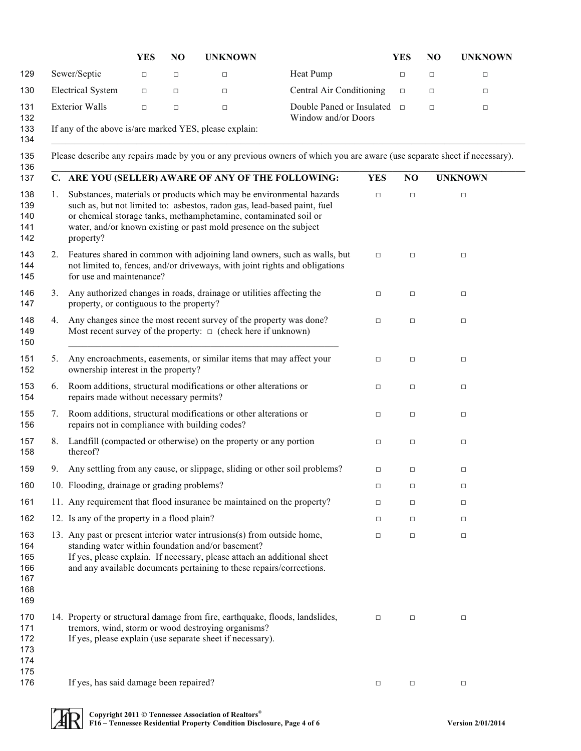|    |                                                | YES    | NO     | <b>UNKNOWN</b>                                                                                                                                                                                                                                                                            |                                                                                                                          |            | <b>YES</b>     | NO     | <b>UNKNOWN</b> |
|----|------------------------------------------------|--------|--------|-------------------------------------------------------------------------------------------------------------------------------------------------------------------------------------------------------------------------------------------------------------------------------------------|--------------------------------------------------------------------------------------------------------------------------|------------|----------------|--------|----------------|
|    | Sewer/Septic                                   | $\Box$ | $\Box$ | $\Box$                                                                                                                                                                                                                                                                                    | Heat Pump                                                                                                                |            | $\Box$         | $\Box$ | $\Box$         |
|    | <b>Electrical System</b>                       | $\Box$ | $\Box$ | $\Box$                                                                                                                                                                                                                                                                                    | Central Air Conditioning                                                                                                 |            | $\Box$         | $\Box$ | $\Box$         |
|    | <b>Exterior Walls</b>                          | $\Box$ | $\Box$ | $\Box$                                                                                                                                                                                                                                                                                    | Double Paned or Insulated<br>Window and/or Doors                                                                         |            | $\Box$         | $\Box$ | $\Box$         |
|    |                                                |        |        | If any of the above is/are marked YES, please explain:                                                                                                                                                                                                                                    |                                                                                                                          |            |                |        |                |
|    |                                                |        |        |                                                                                                                                                                                                                                                                                           | Please describe any repairs made by you or any previous owners of which you are aware (use separate sheet if necessary). |            |                |        |                |
|    |                                                |        |        | C. ARE YOU (SELLER) AWARE OF ANY OF THE FOLLOWING:                                                                                                                                                                                                                                        |                                                                                                                          | <b>YES</b> | N <sub>O</sub> |        | <b>UNKNOWN</b> |
| 1. | property?                                      |        |        | Substances, materials or products which may be environmental hazards<br>such as, but not limited to: asbestos, radon gas, lead-based paint, fuel<br>or chemical storage tanks, methamphetamine, contaminated soil or<br>water, and/or known existing or past mold presence on the subject |                                                                                                                          | $\Box$     | $\Box$         |        | $\Box$         |
| 2. | for use and maintenance?                       |        |        | Features shared in common with adjoining land owners, such as walls, but<br>not limited to, fences, and/or driveways, with joint rights and obligations                                                                                                                                   |                                                                                                                          | $\Box$     | $\Box$         |        | $\Box$         |
| 3. | property, or contiguous to the property?       |        |        | Any authorized changes in roads, drainage or utilities affecting the                                                                                                                                                                                                                      |                                                                                                                          | $\Box$     | $\Box$         |        | $\Box$         |
| 4. |                                                |        |        | Any changes since the most recent survey of the property was done?<br>Most recent survey of the property: $\Box$ (check here if unknown)                                                                                                                                                  |                                                                                                                          | $\Box$     | $\Box$         |        | $\Box$         |
| 5. | ownership interest in the property?            |        |        | Any encroachments, easements, or similar items that may affect your                                                                                                                                                                                                                       |                                                                                                                          | $\Box$     | $\Box$         |        | $\Box$         |
| 6. | repairs made without necessary permits?        |        |        | Room additions, structural modifications or other alterations or                                                                                                                                                                                                                          |                                                                                                                          | □          | $\Box$         |        | $\Box$         |
| 7. | repairs not in compliance with building codes? |        |        | Room additions, structural modifications or other alterations or                                                                                                                                                                                                                          |                                                                                                                          | $\Box$     | $\Box$         |        | $\Box$         |
| 8. | thereof?                                       |        |        | Landfill (compacted or otherwise) on the property or any portion                                                                                                                                                                                                                          |                                                                                                                          | $\Box$     | $\Box$         |        | $\Box$         |
|    |                                                |        |        | 9. Any settling from any cause, or slippage, sliding or other soil problems?                                                                                                                                                                                                              |                                                                                                                          | $\Box$     | $\Box$         |        | $\Box$         |
|    | 10. Flooding, drainage or grading problems?    |        |        |                                                                                                                                                                                                                                                                                           |                                                                                                                          | $\Box$     | □              |        | $\Box$         |
|    |                                                |        |        | 11. Any requirement that flood insurance be maintained on the property?                                                                                                                                                                                                                   |                                                                                                                          | $\Box$     | $\Box$         |        | $\Box$         |
|    | 12. Is any of the property in a flood plain?   |        |        |                                                                                                                                                                                                                                                                                           |                                                                                                                          | □          | $\Box$         |        | $\Box$         |
|    |                                                |        |        | 13. Any past or present interior water intrusions(s) from outside home,<br>standing water within foundation and/or basement?<br>If yes, please explain. If necessary, please attach an additional sheet<br>and any available documents pertaining to these repairs/corrections.           |                                                                                                                          | □          | $\Box$         |        | $\Box$         |
|    |                                                |        |        | 14. Property or structural damage from fire, earthquake, floods, landslides,<br>tremors, wind, storm or wood destroying organisms?<br>If yes, please explain (use separate sheet if necessary).                                                                                           |                                                                                                                          | $\Box$     | $\Box$         |        | $\Box$         |
|    | If yes, has said damage been repaired?         |        |        |                                                                                                                                                                                                                                                                                           |                                                                                                                          | $\Box$     | $\Box$         |        | $\Box$         |
|    |                                                |        |        |                                                                                                                                                                                                                                                                                           |                                                                                                                          |            |                |        |                |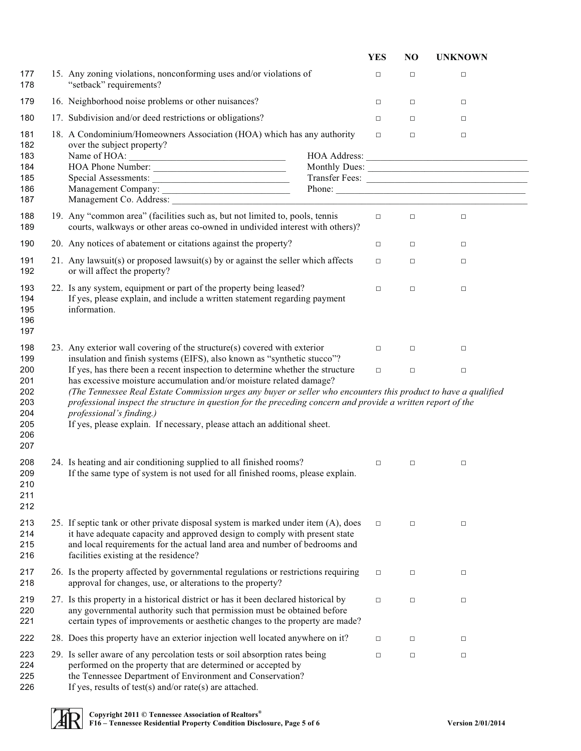|                                                      |                                                                                                                                                                                                                                                                                                                                                                                                                                                                                                 | <b>YES</b> | NO     | <b>UNKNOWN</b>                    |
|------------------------------------------------------|-------------------------------------------------------------------------------------------------------------------------------------------------------------------------------------------------------------------------------------------------------------------------------------------------------------------------------------------------------------------------------------------------------------------------------------------------------------------------------------------------|------------|--------|-----------------------------------|
| 177<br>178                                           | 15. Any zoning violations, nonconforming uses and/or violations of<br>"setback" requirements?                                                                                                                                                                                                                                                                                                                                                                                                   | $\Box$     | $\Box$ | $\Box$                            |
| 179                                                  | 16. Neighborhood noise problems or other nuisances?                                                                                                                                                                                                                                                                                                                                                                                                                                             | $\Box$     | $\Box$ | $\Box$                            |
| 180                                                  | 17. Subdivision and/or deed restrictions or obligations?                                                                                                                                                                                                                                                                                                                                                                                                                                        | $\Box$     | $\Box$ | $\Box$                            |
| 181<br>182<br>183<br>184<br>185<br>186<br>187        | 18. A Condominium/Homeowners Association (HOA) which has any authority<br>over the subject property?<br>Name of HOA: $\overline{\phantom{a}}$<br>Management Company: Phone: Phone: Phone: 2003. Phone: 2004. Phone: 2004. Phone: 2004. Phone: 2004. Phone: 2004. Phone: 2004. Phone: 2004. Phone: 2004. Phone: 2004. Phone: 2004. Phone: 2004. Phone: 2004. Phone: 2004. Phone:                                                                                                                 | $\Box$     | $\Box$ | $\Box$<br>Monthly Dues:<br>Phone: |
| 188<br>189                                           | 19. Any "common area" (facilities such as, but not limited to, pools, tennis<br>courts, walkways or other areas co-owned in undivided interest with others)?                                                                                                                                                                                                                                                                                                                                    | $\Box$     | $\Box$ | $\Box$                            |
| 190                                                  | 20. Any notices of abatement or citations against the property?                                                                                                                                                                                                                                                                                                                                                                                                                                 | $\Box$     | $\Box$ | $\Box$                            |
| 191<br>192                                           | 21. Any lawsuit(s) or proposed lawsuit(s) by or against the seller which affects<br>or will affect the property?                                                                                                                                                                                                                                                                                                                                                                                | $\Box$     | $\Box$ | $\Box$                            |
| 193<br>194<br>195<br>196<br>197                      | 22. Is any system, equipment or part of the property being leased?<br>If yes, please explain, and include a written statement regarding payment<br>information.                                                                                                                                                                                                                                                                                                                                 | $\Box$     | $\Box$ | $\Box$                            |
| 198<br>199                                           | 23. Any exterior wall covering of the structure(s) covered with exterior<br>insulation and finish systems (EIFS), also known as "synthetic stucco"?                                                                                                                                                                                                                                                                                                                                             | $\Box$     | $\Box$ | $\Box$                            |
| 200<br>201<br>202<br>203<br>204<br>205<br>206<br>207 | If yes, has there been a recent inspection to determine whether the structure<br>has excessive moisture accumulation and/or moisture related damage?<br>(The Tennessee Real Estate Commission urges any buyer or seller who encounters this product to have a qualified<br>professional inspect the structure in question for the preceding concern and provide a written report of the<br>professional's finding.)<br>If yes, please explain. If necessary, please attach an additional sheet. | $\Box$     | $\Box$ | $\Box$                            |
| 208<br>209<br>210<br>211<br>212                      | 24. Is heating and air conditioning supplied to all finished rooms?<br>If the same type of system is not used for all finished rooms, please explain.                                                                                                                                                                                                                                                                                                                                           | $\Box$     | $\Box$ | $\Box$                            |
| 213<br>214<br>215<br>216                             | 25. If septic tank or other private disposal system is marked under item (A), does<br>it have adequate capacity and approved design to comply with present state<br>and local requirements for the actual land area and number of bedrooms and<br>facilities existing at the residence?                                                                                                                                                                                                         | $\Box$     | $\Box$ | $\Box$                            |
| 217<br>218                                           | 26. Is the property affected by governmental regulations or restrictions requiring<br>approval for changes, use, or alterations to the property?                                                                                                                                                                                                                                                                                                                                                | $\Box$     | $\Box$ | $\Box$                            |
| 219<br>220<br>221                                    | 27. Is this property in a historical district or has it been declared historical by<br>any governmental authority such that permission must be obtained before<br>certain types of improvements or aesthetic changes to the property are made?                                                                                                                                                                                                                                                  | $\Box$     | $\Box$ | $\Box$                            |
| 222                                                  | 28. Does this property have an exterior injection well located anywhere on it?                                                                                                                                                                                                                                                                                                                                                                                                                  | □          | $\Box$ | $\Box$                            |
| 223<br>224<br>225<br>226                             | 29. Is seller aware of any percolation tests or soil absorption rates being<br>performed on the property that are determined or accepted by<br>the Tennessee Department of Environment and Conservation?<br>If yes, results of test(s) and/or rate(s) are attached.                                                                                                                                                                                                                             | $\Box$     | $\Box$ | $\Box$                            |